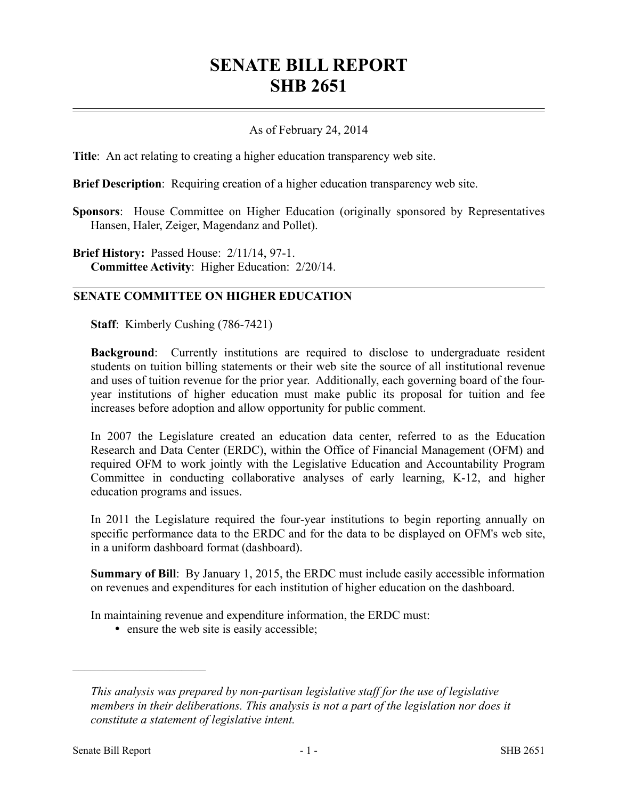## **SENATE BILL REPORT SHB 2651**

## As of February 24, 2014

**Title**: An act relating to creating a higher education transparency web site.

**Brief Description**: Requiring creation of a higher education transparency web site.

**Sponsors**: House Committee on Higher Education (originally sponsored by Representatives Hansen, Haler, Zeiger, Magendanz and Pollet).

**Brief History: Passed House: 2/11/14, 97-1. Committee Activity**: Higher Education: 2/20/14.

## **SENATE COMMITTEE ON HIGHER EDUCATION**

**Staff**: Kimberly Cushing (786-7421)

**Background**: Currently institutions are required to disclose to undergraduate resident students on tuition billing statements or their web site the source of all institutional revenue and uses of tuition revenue for the prior year. Additionally, each governing board of the fouryear institutions of higher education must make public its proposal for tuition and fee increases before adoption and allow opportunity for public comment.

In 2007 the Legislature created an education data center, referred to as the Education Research and Data Center (ERDC), within the Office of Financial Management (OFM) and required OFM to work jointly with the Legislative Education and Accountability Program Committee in conducting collaborative analyses of early learning, K-12, and higher education programs and issues.

In 2011 the Legislature required the four-year institutions to begin reporting annually on specific performance data to the ERDC and for the data to be displayed on OFM's web site, in a uniform dashboard format (dashboard).

**Summary of Bill**: By January 1, 2015, the ERDC must include easily accessible information on revenues and expenditures for each institution of higher education on the dashboard.

In maintaining revenue and expenditure information, the ERDC must:

• ensure the web site is easily accessible;

––––––––––––––––––––––

*This analysis was prepared by non-partisan legislative staff for the use of legislative members in their deliberations. This analysis is not a part of the legislation nor does it constitute a statement of legislative intent.*